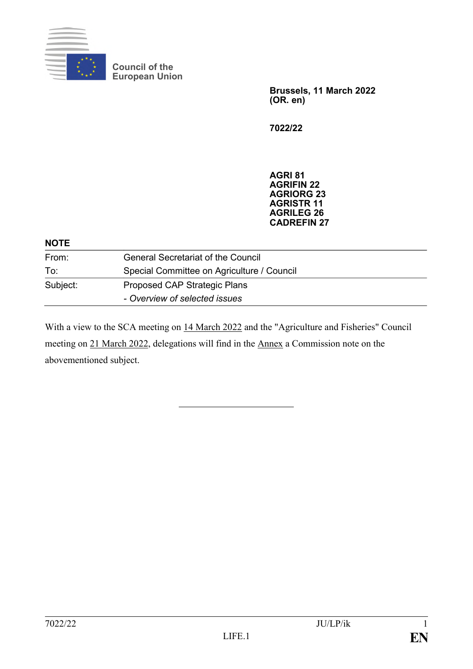

**Council of the European Union**

> **Brussels, 11 March 2022 (OR. en)**

**7022/22**

**AGRI 81 AGRIFIN 22 AGRIORG 23 AGRISTR 11 AGRILEG 26 CADREFIN 27**

| <b>NOTE</b> |                                            |
|-------------|--------------------------------------------|
| From:       | <b>General Secretariat of the Council</b>  |
| To:         | Special Committee on Agriculture / Council |
| Subject:    | Proposed CAP Strategic Plans               |
|             | - Overview of selected issues              |

With a view to the SCA meeting on 14 March 2022 and the "Agriculture and Fisheries" Council meeting on 21 March 2022, delegations will find in the Annex a Commission note on the abovementioned subject.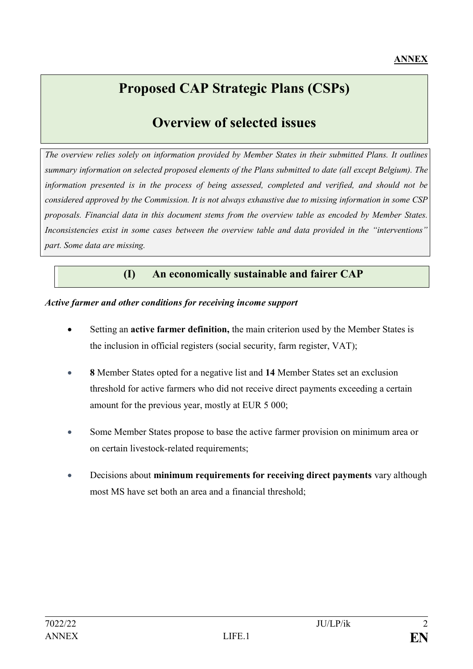# **Proposed CAP Strategic Plans (CSPs)**

# **Overview of selected issues**

*The overview relies solely on information provided by Member States in their submitted Plans. It outlines summary information on selected proposed elements of the Plans submitted to date (all except Belgium). The information presented is in the process of being assessed, completed and verified, and should not be considered approved by the Commission. It is not always exhaustive due to missing information in some CSP proposals. Financial data in this document stems from the overview table as encoded by Member States. Inconsistencies exist in some cases between the overview table and data provided in the "interventions" part. Some data are missing.*

# **(I) An economically sustainable and fairer CAP**

#### *Active farmer and other conditions for receiving income support*

- Setting an **active farmer definition,** the main criterion used by the Member States is the inclusion in official registers (social security, farm register, VAT);
- **8** Member States opted for a negative list and **14** Member States set an exclusion threshold for active farmers who did not receive direct payments exceeding a certain amount for the previous year, mostly at EUR 5 000;
- Some Member States propose to base the active farmer provision on minimum area or on certain livestock-related requirements;
- Decisions about **minimum requirements for receiving direct payments** vary although most MS have set both an area and a financial threshold;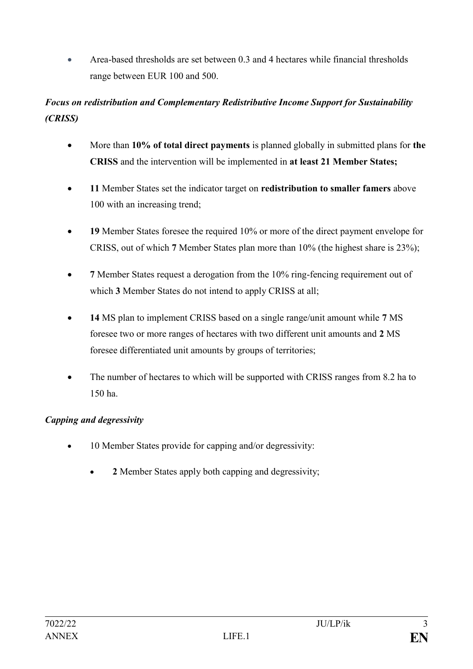• Area-based thresholds are set between  $\theta$  3 and 4 hectares while financial thresholds range between EUR 100 and 500.

# *Focus on redistribution and Complementary Redistributive Income Support for Sustainability (CRISS)*

- More than **10% of total direct payments** is planned globally in submitted plans for **the CRISS** and the intervention will be implemented in **at least 21 Member States;**
- **11** Member States set the indicator target on **redistribution to smaller famers** above 100 with an increasing trend;
- **19** Member States foresee the required 10% or more of the direct payment envelope for CRISS, out of which **7** Member States plan more than 10% (the highest share is 23%);
- 7 Member States request a derogation from the 10% ring-fencing requirement out of which **3** Member States do not intend to apply CRISS at all;
- **14** MS plan to implement CRISS based on a single range/unit amount while **7** MS foresee two or more ranges of hectares with two different unit amounts and **2** MS foresee differentiated unit amounts by groups of territories;
- The number of hectares to which will be supported with CRISS ranges from 8.2 ha to 150 ha.

# *Capping and degressivity*

- 10 Member States provide for capping and/or degressivity:
	- **2** Member States apply both capping and degressivity;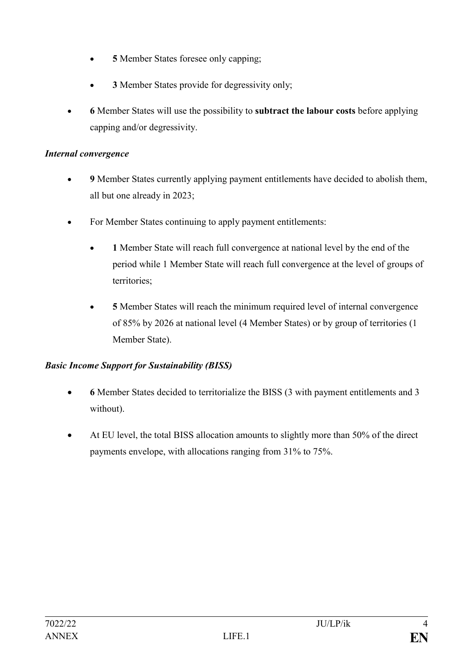- **5** Member States foresee only capping;
- **3** Member States provide for degressivity only;
- **6** Member States will use the possibility to **subtract the labour costs** before applying capping and/or degressivity.

# *Internal convergence*

- **9** Member States currently applying payment entitlements have decided to abolish them, all but one already in 2023;
- For Member States continuing to apply payment entitlements:
	- **1** Member State will reach full convergence at national level by the end of the period while 1 Member State will reach full convergence at the level of groups of territories;
	- **5** Member States will reach the minimum required level of internal convergence of 85% by 2026 at national level (4 Member States) or by group of territories (1 Member State).

# *Basic Income Support for Sustainability (BISS)*

- **6** Member States decided to territorialize the BISS (3 with payment entitlements and 3 without).
- At EU level, the total BISS allocation amounts to slightly more than 50% of the direct payments envelope, with allocations ranging from 31% to 75%.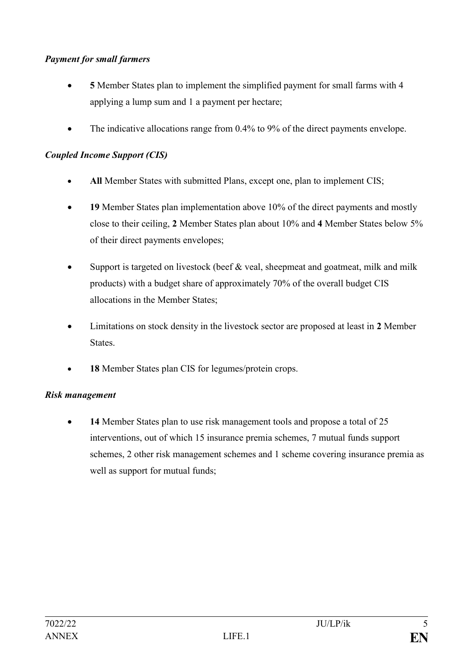# *Payment for small farmers*

- **5** Member States plan to implement the simplified payment for small farms with 4 applying a lump sum and 1 a payment per hectare;
- The indicative allocations range from 0.4% to 9% of the direct payments envelope.

#### *Coupled Income Support (CIS)*

- **All** Member States with submitted Plans, except one, plan to implement CIS;
- **19** Member States plan implementation above 10% of the direct payments and mostly close to their ceiling, **2** Member States plan about 10% and **4** Member States below 5% of their direct payments envelopes;
- Support is targeted on livestock (beef  $&$  veal, sheepmeat and goatmeat, milk and milk products) with a budget share of approximately 70% of the overall budget CIS allocations in the Member States;
- Limitations on stock density in the livestock sector are proposed at least in **2** Member States.
- **18** Member States plan CIS for legumes/protein crops.

#### *Risk management*

• **14** Member States plan to use risk management tools and propose a total of 25 interventions, out of which 15 insurance premia schemes, 7 mutual funds support schemes, 2 other risk management schemes and 1 scheme covering insurance premia as well as support for mutual funds;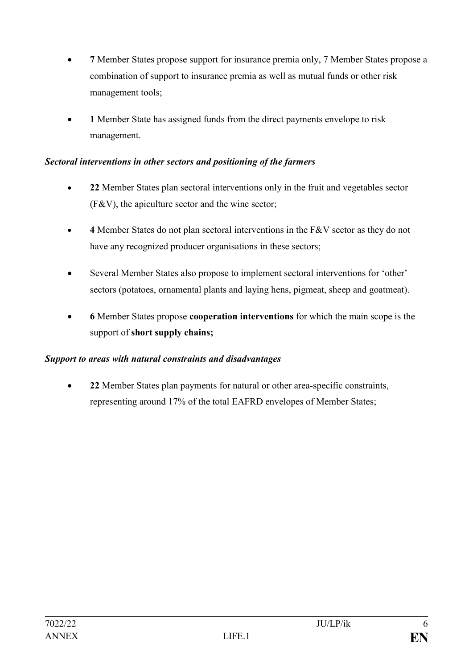- **7** Member States propose support for insurance premia only, 7 Member States propose a combination of support to insurance premia as well as mutual funds or other risk management tools;
- **1** Member State has assigned funds from the direct payments envelope to risk management.

# *Sectoral interventions in other sectors and positioning of the farmers*

- **22** Member States plan sectoral interventions only in the fruit and vegetables sector (F&V), the apiculture sector and the wine sector;
- **4** Member States do not plan sectoral interventions in the F&V sector as they do not have any recognized producer organisations in these sectors;
- Several Member States also propose to implement sectoral interventions for 'other' sectors (potatoes, ornamental plants and laying hens, pigmeat, sheep and goatmeat).
- **6** Member States propose **cooperation interventions** for which the main scope is the support of **short supply chains;**

# *Support to areas with natural constraints and disadvantages*

• **22** Member States plan payments for natural or other area-specific constraints, representing around 17% of the total EAFRD envelopes of Member States;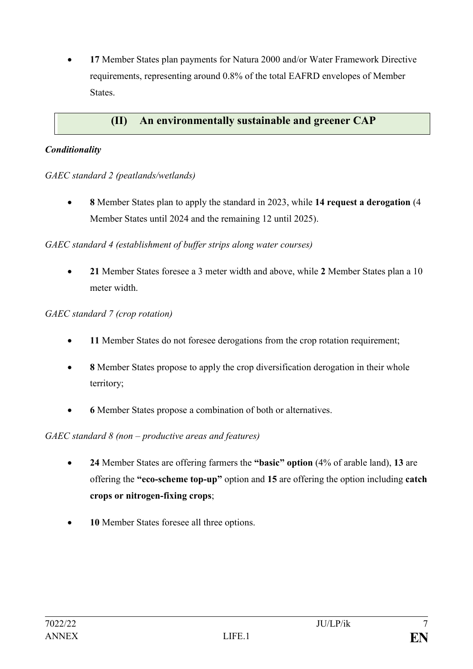• **17** Member States plan payments for Natura 2000 and/or Water Framework Directive requirements, representing around 0.8% of the total EAFRD envelopes of Member **States**.

# **(II) An environmentally sustainable and greener CAP**

## *Conditionality*

*GAEC standard 2 (peatlands/wetlands)*

• **8** Member States plan to apply the standard in 2023, while **14 request a derogation** (4 Member States until 2024 and the remaining 12 until 2025).

## *GAEC standard 4 (establishment of buffer strips along water courses)*

• **21** Member States foresee a 3 meter width and above, while **2** Member States plan a 10 meter width.

## *GAEC standard 7 (crop rotation)*

- **11** Member States do not foresee derogations from the crop rotation requirement;
- **8** Member States propose to apply the crop diversification derogation in their whole territory;
- **6** Member States propose a combination of both or alternatives.

# *GAEC standard 8 (non – productive areas and features)*

- **24** Member States are offering farmers the **"basic" option** (4% of arable land), **13** are offering the **"eco-scheme top-up"** option and **15** are offering the option including **catch crops or nitrogen-fixing crops**;
- 10 Member States foresee all three options.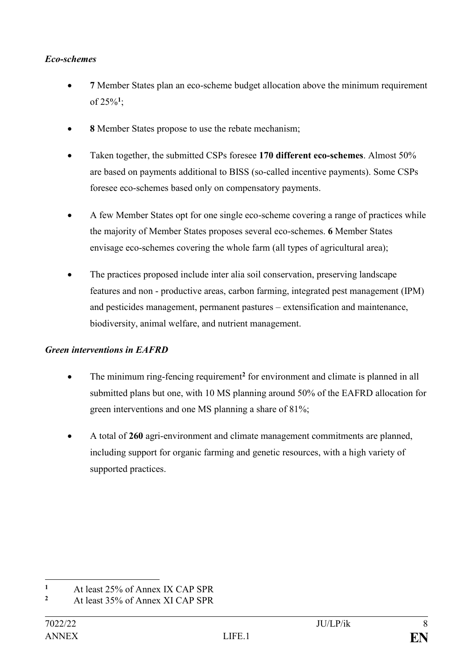#### *Eco-schemes*

- **7** Member States plan an eco-scheme budget allocation above the minimum requirement of 25%**<sup>1</sup>** ;
- **8** Member States propose to use the rebate mechanism;
- Taken together, the submitted CSPs foresee **170 different eco-schemes**. Almost 50% are based on payments additional to BISS (so-called incentive payments). Some CSPs foresee eco-schemes based only on compensatory payments.
- A few Member States opt for one single eco-scheme covering a range of practices while the majority of Member States proposes several eco-schemes. **6** Member States envisage eco-schemes covering the whole farm (all types of agricultural area);
- The practices proposed include inter alia soil conservation, preserving landscape features and non - productive areas, carbon farming, integrated pest management (IPM) and pesticides management, permanent pastures – extensification and maintenance, biodiversity, animal welfare, and nutrient management.

# *Green interventions in EAFRD*

- The minimum ring-fencing requirement<sup>2</sup> for environment and climate is planned in all submitted plans but one, with 10 MS planning around 50% of the EAFRD allocation for green interventions and one MS planning a share of 81%;
- A total of **260** agri-environment and climate management commitments are planned, including support for organic farming and genetic resources, with a high variety of supported practices.

 $\mathbf{1}$  $\frac{1}{2}$  At least 25% of Annex IX CAP SPR

**<sup>2</sup>** At least 35% of Annex XI CAP SPR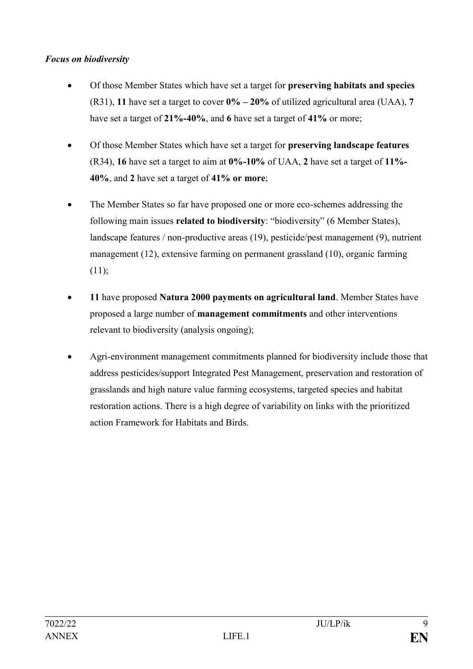## *Focus on biodiversity*

- Of those Member States which have set a target for **preserving habitats and species**  (R31), **11** have set a target to cover **0% – 20%** of utilized agricultural area (UAA), **7** have set a target of **21%-40%**, and **6** have set a target of **41%** or more;
- Of those Member States which have set a target for **preserving landscape features**  (R34), **16** have set a target to aim at **0%-10%** of UAA, **2** have set a target of **11%- 40%**, and **2** have set a target of **41% or more**;
- The Member States so far have proposed one or more eco-schemes addressing the following main issues **related to biodiversity**: "biodiversity" (6 Member States), landscape features / non-productive areas (19), pesticide/pest management (9), nutrient management (12), extensive farming on permanent grassland (10), organic farming (11);
- **11** have proposed **Natura 2000 payments on agricultural land**. Member States have proposed a large number of **management commitments** and other interventions relevant to biodiversity (analysis ongoing);
- Agri-environment management commitments planned for biodiversity include those that address pesticides/support Integrated Pest Management, preservation and restoration of grasslands and high nature value farming ecosystems, targeted species and habitat restoration actions. There is a high degree of variability on links with the prioritized action Framework for Habitats and Birds.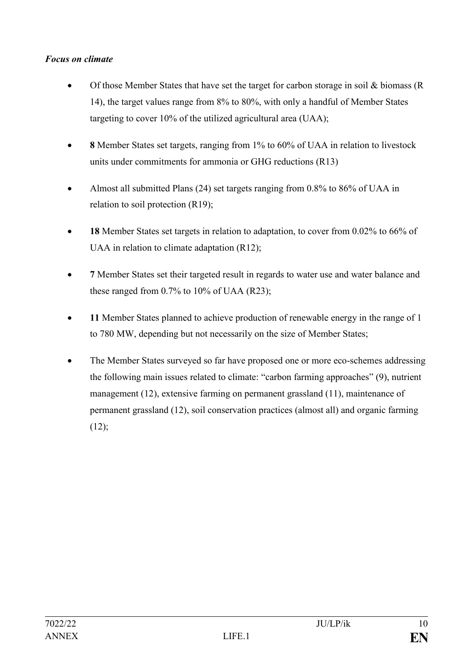## *Focus on climate*

- Of those Member States that have set the target for carbon storage in soil  $\&$  biomass (R) 14), the target values range from 8% to 80%, with only a handful of Member States targeting to cover 10% of the utilized agricultural area (UAA);
- **8** Member States set targets, ranging from 1% to 60% of UAA in relation to livestock units under commitments for ammonia or GHG reductions (R13)
- Almost all submitted Plans (24) set targets ranging from 0.8% to 86% of UAA in relation to soil protection (R19);
- **18** Member States set targets in relation to adaptation, to cover from 0.02% to 66% of UAA in relation to climate adaptation (R12);
- **7** Member States set their targeted result in regards to water use and water balance and these ranged from  $0.7\%$  to  $10\%$  of UAA (R23);
- **11** Member States planned to achieve production of renewable energy in the range of 1 to 780 MW, depending but not necessarily on the size of Member States;
- The Member States surveyed so far have proposed one or more eco-schemes addressing the following main issues related to climate: "carbon farming approaches" (9), nutrient management (12), extensive farming on permanent grassland (11), maintenance of permanent grassland (12), soil conservation practices (almost all) and organic farming  $(12);$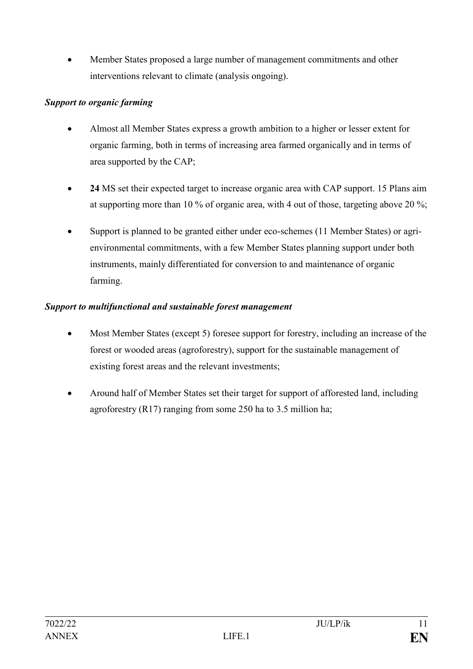• Member States proposed a large number of management commitments and other interventions relevant to climate (analysis ongoing).

# *Support to organic farming*

- Almost all Member States express a growth ambition to a higher or lesser extent for organic farming, both in terms of increasing area farmed organically and in terms of area supported by the CAP;
- **24** MS set their expected target to increase organic area with CAP support. 15 Plans aim at supporting more than 10 % of organic area, with 4 out of those, targeting above 20 %;
- Support is planned to be granted either under eco-schemes (11 Member States) or agrienvironmental commitments, with a few Member States planning support under both instruments, mainly differentiated for conversion to and maintenance of organic farming.

# *Support to multifunctional and sustainable forest management*

- Most Member States (except 5) foresee support for forestry, including an increase of the forest or wooded areas (agroforestry), support for the sustainable management of existing forest areas and the relevant investments;
- Around half of Member States set their target for support of afforested land, including agroforestry (R17) ranging from some 250 ha to 3.5 million ha;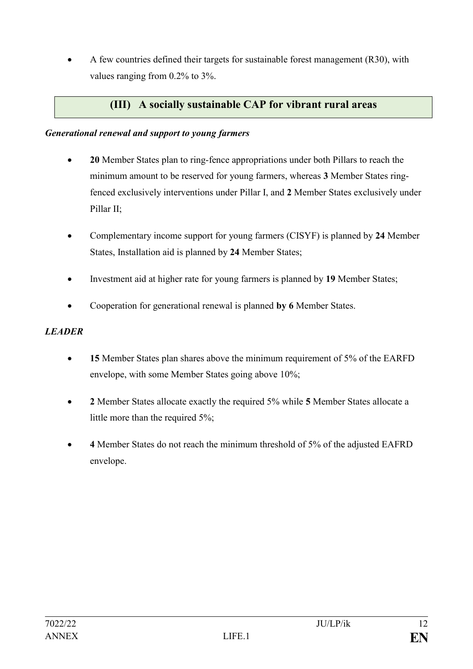• A few countries defined their targets for sustainable forest management (R30), with values ranging from 0.2% to 3%.

# **(III) A socially sustainable CAP for vibrant rural areas**

#### *Generational renewal and support to young farmers*

- **20** Member States plan to ring-fence appropriations under both Pillars to reach the minimum amount to be reserved for young farmers, whereas **3** Member States ringfenced exclusively interventions under Pillar I, and **2** Member States exclusively under Pillar II;
- Complementary income support for young farmers (CISYF) is planned by **24** Member States, Installation aid is planned by **24** Member States;
- Investment aid at higher rate for young farmers is planned by **19** Member States;
- Cooperation for generational renewal is planned **by 6** Member States.

#### *LEADER*

- **15** Member States plan shares above the minimum requirement of 5% of the EARFD envelope, with some Member States going above 10%;
- **2** Member States allocate exactly the required 5% while **5** Member States allocate a little more than the required 5%;
- **4** Member States do not reach the minimum threshold of 5% of the adjusted EAFRD envelope.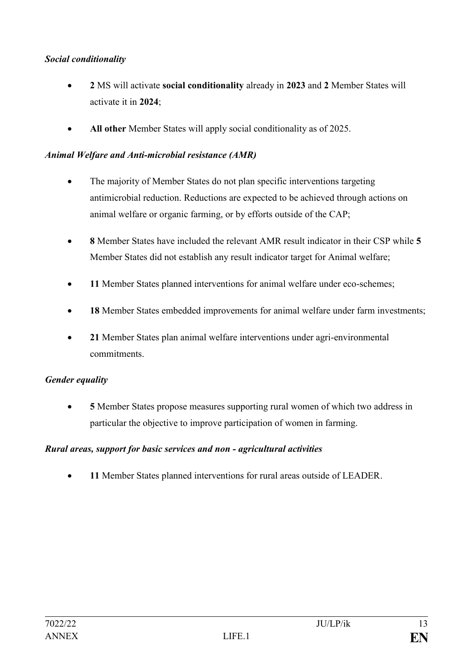## *Social conditionality*

- **2** MS will activate **social conditionality** already in **2023** and **2** Member States will activate it in **2024**;
- **All other** Member States will apply social conditionality as of 2025.

#### *Animal Welfare and Anti-microbial resistance (AMR)*

- The majority of Member States do not plan specific interventions targeting antimicrobial reduction. Reductions are expected to be achieved through actions on animal welfare or organic farming, or by efforts outside of the CAP;
- **8** Member States have included the relevant AMR result indicator in their CSP while **5** Member States did not establish any result indicator target for Animal welfare;
- **11** Member States planned interventions for animal welfare under eco-schemes;
- 18 Member States embedded improvements for animal welfare under farm investments;
- **21** Member States plan animal welfare interventions under agri-environmental commitments.

#### *Gender equality*

• **5** Member States propose measures supporting rural women of which two address in particular the objective to improve participation of women in farming.

#### *Rural areas, support for basic services and non - agricultural activities*

• **11** Member States planned interventions for rural areas outside of LEADER.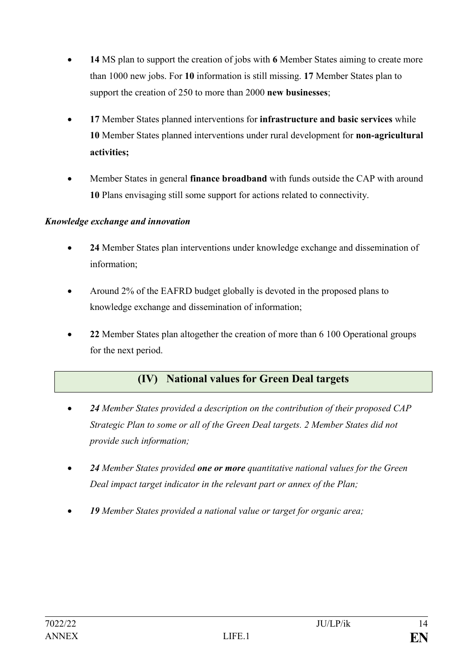- **14** MS plan to support the creation of jobs with **6** Member States aiming to create more than 1000 new jobs. For **10** information is still missing. **17** Member States plan to support the creation of 250 to more than 2000 **new businesses**;
- **17** Member States planned interventions for **infrastructure and basic services** while **10** Member States planned interventions under rural development for **non-agricultural activities;**
- Member States in general **finance broadband** with funds outside the CAP with around **10** Plans envisaging still some support for actions related to connectivity.

# *Knowledge exchange and innovation*

- **24** Member States plan interventions under knowledge exchange and dissemination of information;
- Around 2% of the EAFRD budget globally is devoted in the proposed plans to knowledge exchange and dissemination of information;
- **22** Member States plan altogether the creation of more than 6 100 Operational groups for the next period.

# **(IV) National values for Green Deal targets**

- *24 Member States provided a description on the contribution of their proposed CAP Strategic Plan to some or all of the Green Deal targets. 2 Member States did not provide such information;*
- *24 Member States provided one or more quantitative national values for the Green Deal impact target indicator in the relevant part or annex of the Plan;*
- *19 Member States provided a national value or target for organic area;*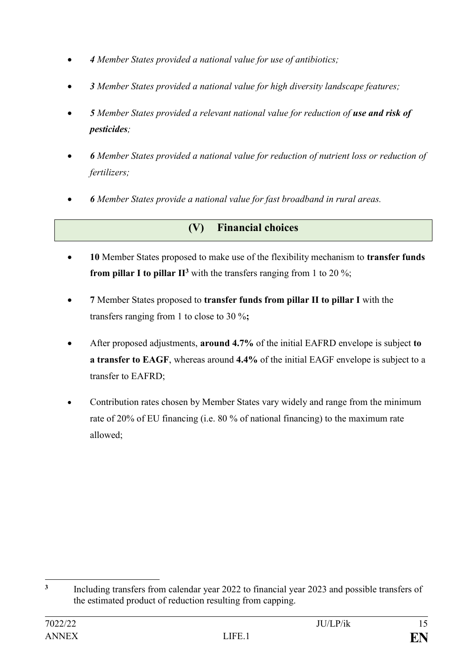- *4 Member States provided a national value for use of antibiotics;*
- *3 Member States provided a national value for high diversity landscape features;*
- *5 Member States provided a relevant national value for reduction of use and risk of pesticides;*
- *6 Member States provided a national value for reduction of nutrient loss or reduction of fertilizers;*
- *6 Member States provide a national value for fast broadband in rural areas.*

# **(V) Financial choices**

- **10** Member States proposed to make use of the flexibility mechanism to **transfer funds from pillar I to pillar**  $\mathbf{H}^3$  with the transfers ranging from 1 to 20 %;
- **7** Member States proposed to **transfer funds from pillar II to pillar I** with the transfers ranging from 1 to close to 30 %**;**
- After proposed adjustments, **around 4.7%** of the initial EAFRD envelope is subject **to a transfer to EAGF**, whereas around **4.4%** of the initial EAGF envelope is subject to a transfer to EAFRD;
- Contribution rates chosen by Member States vary widely and range from the minimum rate of 20% of EU financing (i.e. 80 % of national financing) to the maximum rate allowed;

<sup>1</sup> **3** Including transfers from calendar year 2022 to financial year 2023 and possible transfers of the estimated product of reduction resulting from capping.